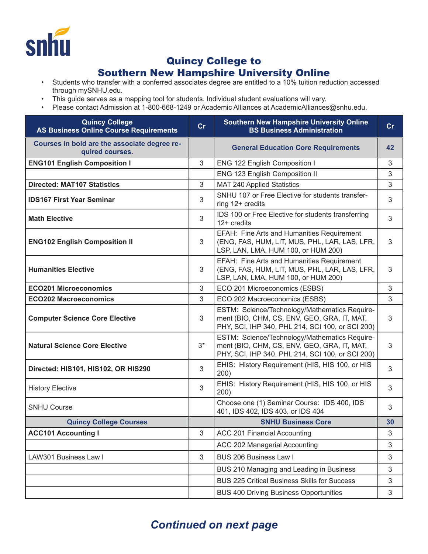

## Quincy College to

## Southern New Hampshire University Online

- Students who transfer with a conferred associates degree are entitled to a 10% tuition reduction accessed through mySNHU.edu.
- This guide serves as a mapping tool for students. Individual student evaluations will vary.
- Please contact Admission at 1-800-668-1249 or Academic Alliances at AcademicAlliances@snhu.edu.

| <b>Quincy College</b><br><b>AS Business Online Course Requirements</b> | cr    | <b>Southern New Hampshire University Online</b><br><b>BS Business Administration</b>                                                             | cr |
|------------------------------------------------------------------------|-------|--------------------------------------------------------------------------------------------------------------------------------------------------|----|
| Courses in bold are the associate degree re-<br>quired courses.        |       | <b>General Education Core Requirements</b>                                                                                                       | 42 |
| <b>ENG101 English Composition I</b>                                    | 3     | ENG 122 English Composition I                                                                                                                    | 3  |
|                                                                        |       | ENG 123 English Composition II                                                                                                                   | 3  |
| <b>Directed: MAT107 Statistics</b>                                     | 3     | MAT 240 Applied Statistics                                                                                                                       | 3  |
| <b>IDS167 First Year Seminar</b>                                       | 3     | SNHU 107 or Free Elective for students transfer-<br>ring 12+ credits                                                                             | 3  |
| <b>Math Elective</b>                                                   | 3     | IDS 100 or Free Elective for students transferring<br>$12+$ credits                                                                              | 3  |
| <b>ENG102 English Composition II</b>                                   | 3     | EFAH: Fine Arts and Humanities Requirement<br>(ENG, FAS, HUM, LIT, MUS, PHL, LAR, LAS, LFR,<br>LSP, LAN, LMA, HUM 100, or HUM 200)               | 3  |
| <b>Humanities Elective</b>                                             | 3     | EFAH: Fine Arts and Humanities Requirement<br>(ENG, FAS, HUM, LIT, MUS, PHL, LAR, LAS, LFR,<br>LSP, LAN, LMA, HUM 100, or HUM 200)               | 3  |
| <b>ECO201 Microeconomics</b>                                           | 3     | ECO 201 Microeconomics (ESBS)                                                                                                                    | 3  |
| <b>ECO202 Macroeconomics</b>                                           | 3     | ECO 202 Macroeconomics (ESBS)                                                                                                                    | 3  |
| <b>Computer Science Core Elective</b>                                  | 3     | ESTM: Science/Technology/Mathematics Require-<br>ment (BIO, CHM, CS, ENV, GEO, GRA, IT, MAT,<br>PHY, SCI, IHP 340, PHL 214, SCI 100, or SCI 200) | 3  |
| <b>Natural Science Core Elective</b>                                   | $3^*$ | ESTM: Science/Technology/Mathematics Require-<br>ment (BIO, CHM, CS, ENV, GEO, GRA, IT, MAT,<br>PHY, SCI, IHP 340, PHL 214, SCI 100, or SCI 200) | 3  |
| Directed: HIS101, HIS102, OR HIS290                                    | 3     | EHIS: History Requirement (HIS, HIS 100, or HIS<br>200)                                                                                          | 3  |
| <b>History Elective</b>                                                | 3     | EHIS: History Requirement (HIS, HIS 100, or HIS<br>200)                                                                                          | 3  |
| <b>SNHU Course</b>                                                     |       | Choose one (1) Seminar Course: IDS 400, IDS<br>401, IDS 402, IDS 403, or IDS 404                                                                 | 3  |
| <b>Quincy College Courses</b>                                          |       | <b>SNHU Business Core</b>                                                                                                                        | 30 |
| <b>ACC101 Accounting I</b>                                             | 3     | ACC 201 Financial Accounting                                                                                                                     | 3  |
|                                                                        |       | ACC 202 Managerial Accounting                                                                                                                    | 3  |
| LAW301 Business Law I                                                  | 3     | BUS 206 Business Law I                                                                                                                           | 3  |
|                                                                        |       | BUS 210 Managing and Leading in Business                                                                                                         | 3  |
|                                                                        |       | <b>BUS 225 Critical Business Skills for Success</b>                                                                                              | 3  |
|                                                                        |       | <b>BUS 400 Driving Business Opportunities</b>                                                                                                    | 3  |

## *Continued on next page*